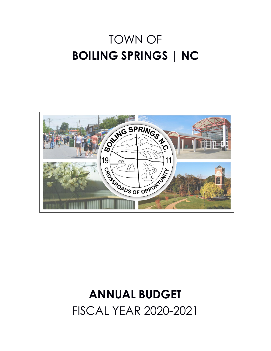# TOWN OF **BOILING SPRINGS | NC**



# **ANNUAL BUDGET** FISCAL YEAR 2020-2021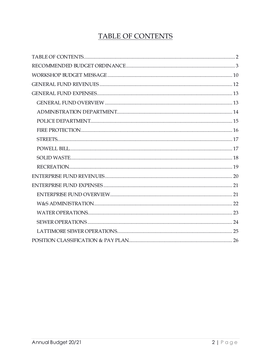# TABLE OF CONTENTS

<span id="page-1-1"></span><span id="page-1-0"></span>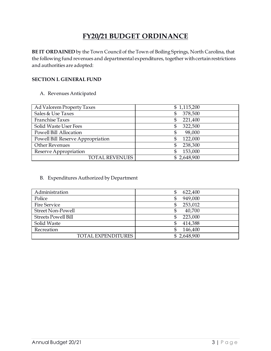## **FY20/21 BUDGET ORDINANCE**

**BE IT ORDAINED** by the Town Council of the Town of Boiling Springs, North Carolina, that the following fund revenues and departmental expenditures, together with certain restrictions and authorities are adopted:

#### **SECTION I. GENERAL FUND**

#### A. Revenues Anticipated

| Ad Valorem Property Taxes         | \$1,115,200    |
|-----------------------------------|----------------|
| Sales & Use Taxes                 | 378,500<br>\$  |
| <b>Franchise Taxes</b>            | 221,400<br>\$. |
| Solid Waste User Fees             | 322,500<br>\$  |
| Powell Bill Allocation            | 98,000<br>\$   |
| Powell Bill Reserve Appropriation | 122,000<br>\$  |
| <b>Other Revenues</b>             | 238,300<br>\$  |
| Reserve Appropriation             | 153,000<br>\$  |
| <b>TOTAL REVENUES</b>             | \$2,648,900    |

#### B. Expenditures Authorized by Department

| Administration             | 622,400<br>\$ |
|----------------------------|---------------|
| Police                     | 949,000<br>S  |
| <b>Fire Service</b>        | 253,012<br>\$ |
| <b>Street Non-Powell</b>   | 40,700<br>\$  |
| <b>Streets Powell Bill</b> | 223,000<br>\$ |
| Solid Waste                | 414,388       |
| Recreation                 | 146,400       |
| <b>TOTAL EXPENDITURES</b>  | \$2,648,900   |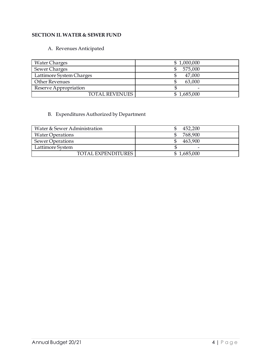#### **SECTION II. WATER & SEWER FUND**

#### A. Revenues Anticipated

| <b>Water Charges</b>     | \$1,000,000 |
|--------------------------|-------------|
| Sewer Charges            | 575,000     |
| Lattimore System Charges | 47,000      |
| <b>Other Revenues</b>    | 63,000      |
| Reserve Appropriation    | -           |
| <b>TOTAL REVENUES</b>    | \$1,685,000 |

#### B. Expenditures Authorized by Department

| Water & Sewer Administration | 452,200     |
|------------------------------|-------------|
| <b>Water Operations</b>      | 768,900     |
| Sewer Operations             | 463,900     |
| Lattimore System             | -           |
| TOTAL EXPENDITURES           | \$1,685,000 |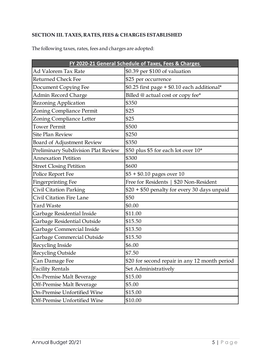#### **SECTION III. TAXES, RATES, FEES & CHARGES ESTABLISHED**

|                                     | FY 2020-21 General Schedule of Taxes, Fees & Charges |  |  |  |
|-------------------------------------|------------------------------------------------------|--|--|--|
| Ad Valorem Tax Rate                 | \$0.39 per \$100 of valuation                        |  |  |  |
| <b>Returned Check Fee</b>           | \$25 per occurrence                                  |  |  |  |
| Document Copying Fee                | \$0.25 first page + \$0.10 each additional*          |  |  |  |
| Admin Record Charge                 | Billed @ actual cost or copy fee*                    |  |  |  |
| Rezoning Application                | \$350                                                |  |  |  |
| Zoning Compliance Permit            | \$25                                                 |  |  |  |
| Zoning Compliance Letter            | \$25                                                 |  |  |  |
| <b>Tower Permit</b>                 | \$500                                                |  |  |  |
| <b>Site Plan Review</b>             | \$250                                                |  |  |  |
| Board of Adjustment Review          | \$350                                                |  |  |  |
| Preliminary Subdivision Plat Review | \$50 plus \$5 for each lot over 10*                  |  |  |  |
| <b>Annexation Petition</b>          | \$300                                                |  |  |  |
| <b>Street Closing Petition</b>      | \$600                                                |  |  |  |
| Police Report Fee                   | $$5 + $0.10$ pages over 10                           |  |  |  |
| Fingerprinting Fee                  | Free for Residents   \$20 Non-Resident               |  |  |  |
| Civil Citation Parking              | \$20 + \$50 penalty for every 30 days unpaid         |  |  |  |
| Civil Citation Fire Lane            | \$50                                                 |  |  |  |
| <b>Yard Waste</b>                   | \$0.00                                               |  |  |  |
| Garbage Residential Inside          | \$11.00                                              |  |  |  |
| Garbage Residential Outside         | \$15.50                                              |  |  |  |
| Garbage Commercial Inside           | \$13.50                                              |  |  |  |
| Garbage Commercial Outside          | \$15.50                                              |  |  |  |
| Recycling Inside                    | \$6.00                                               |  |  |  |
| <b>Recycling Outside</b>            | \$7.50                                               |  |  |  |
| Can Damage Fee                      | \$20 for second repair in any 12 month period        |  |  |  |
| <b>Facility Rentals</b>             | Set Administratively                                 |  |  |  |
| On-Premise Malt Beverage            | \$15.00                                              |  |  |  |
| Off-Premise Malt Beverage           | \$5.00                                               |  |  |  |
| On-Premise Unfortified Wine         | \$15.00                                              |  |  |  |
| Off-Premise Unfortified Wine        | \$10.00                                              |  |  |  |

The following taxes, rates, fees and charges are adopted: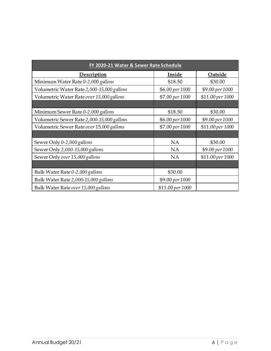| FY 2020-21 Water & Sewer Rate Schedule     |                  |                  |  |  |  |
|--------------------------------------------|------------------|------------------|--|--|--|
| Description                                | Inside           | Outside          |  |  |  |
| Minimum Water Rate 0-2,000 gallons         | \$18.50          | \$30.00          |  |  |  |
| Volumetric Water Rate 2,000-15,000 gallons | \$6.00 per 1000  | \$9.00 per 1000  |  |  |  |
| Volumetric Water Rate over 15,000 gallons  | \$7.00 per 1000  | \$11.00 per 1000 |  |  |  |
|                                            |                  |                  |  |  |  |
| Minimum Sewer Rate 0-2,000 gallons         | \$18.50          | \$30.00          |  |  |  |
| Volumetric Sewer Rate 2,000-15,000 gallons | \$6.00 per 1000  | \$9.00 per 1000  |  |  |  |
| Volumetric Sewer Rate over 15,000 gallons  | \$7.00 per 1000  | \$11.00 per 1000 |  |  |  |
|                                            |                  |                  |  |  |  |
| Sewer Only 0-2,000 gallons                 | <b>NA</b>        | \$30.00          |  |  |  |
| Sewer Only 2,000-15,000 gallons            | <b>NA</b>        | \$9.00 per 1000  |  |  |  |
| Sewer Only over 15,000 gallons             | <b>NA</b>        | \$11.00 per 1000 |  |  |  |
|                                            |                  |                  |  |  |  |
| Bulk Water Rate 0-2,000 gallons            | \$30.00          |                  |  |  |  |
| Bulk Water Rate 2,000-15,000 gallons       | \$9.00 per 1000  |                  |  |  |  |
| Bulk Water Rate over 15,000 gallons        | \$11.00 per 1000 |                  |  |  |  |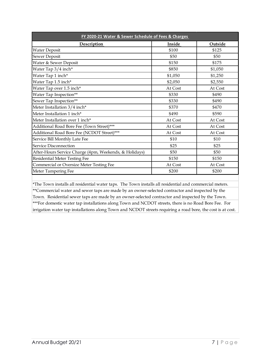| FY 2020-21 Water & Sewer Schedule of Fees & Charges    |         |         |  |  |  |
|--------------------------------------------------------|---------|---------|--|--|--|
| Description                                            | Inside  | Outside |  |  |  |
| <b>Water Deposit</b>                                   | \$100   | \$125   |  |  |  |
| Sewer Deposit                                          | \$50    | \$50    |  |  |  |
| Water & Sewer Deposit                                  | \$150   | \$175   |  |  |  |
| Water Tap 3/4 inch*                                    | \$850   | \$1,050 |  |  |  |
| Water Tap 1 inch*                                      | \$1,050 | \$1,250 |  |  |  |
| Water Tap 1.5 inch*                                    | \$2,050 | \$2,550 |  |  |  |
| Water Tap over 1.5 inch*                               | At Cost | At Cost |  |  |  |
| Water Tap Inspection**                                 | \$330   | \$490   |  |  |  |
| Sewer Tap Inspection**                                 | \$330   | \$490   |  |  |  |
| Meter Installation 3/4 inch*                           | \$370   | \$470   |  |  |  |
| Meter Installation 1 inch*                             | \$490   | \$590   |  |  |  |
| Meter Installation over 1 inch*                        | At Cost | At Cost |  |  |  |
| Additional Road Bore Fee (Town Street)***              | At Cost | At Cost |  |  |  |
| Additional Road Bore Fee (NCDOT Street)***             | At Cost | At Cost |  |  |  |
| Service Bill Monthly Late Fee                          | \$10    | \$10    |  |  |  |
| Service Disconnection                                  | \$25    | \$25    |  |  |  |
| After-Hours Service Charge (4pm, Weekends, & Holidays) | \$50    | \$50    |  |  |  |
| Residential Meter Testing Fee                          | \$150   | \$150   |  |  |  |
| Commercial or Oversize Meter Testing Fee               | At Cost | At Cost |  |  |  |
| Meter Tampering Fee                                    | \$200   | \$200   |  |  |  |

\*\*\*For domestic water tap installations along Town and NCDOT streets, there is no Road Bore Fee. For irrigation water tap installations along Town and NCDOT streets requiring a road bore, the cost is at cost. \*\*Commercial water and sewer taps are made by an owner-selected contractor and inspected by the Town. Residential sewer taps are made by an owner-selected contractor and inspected by the Town. \*The Town installs all residential water taps. The Town installs all residential and commercial meters.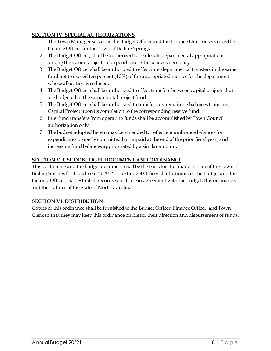#### **SECTION IV. SPECIAL AUTHORIZATIONS**

- 1. The Town Manager serves as the Budget Officer and the Finance Director serves as the Finance Officer for the Town of Boiling Springs.
- 2. The Budget Officer, shall be authorized to reallocate departmental appropriations among the various objects of expenditure as he believes necessary.
- 3. The Budget Officer shall be authorized to effect interdepartmental transfers in the same fund not to exceed ten percent (10%) of the appropriated monies for the department whose allocation is reduced.
- 4. The Budget Officer shall be authorized to effect transfers between capital projects that are budgeted in the same capital project fund.
- 5. The Budget Officer shall be authorized to transfer any remaining balances from any Capital Project upon its completion to the corresponding reserve fund.
- 6. Interfund transfers from operating funds shall be accomplished by Town Council authorization only.
- 7. The budget adopted herein may be amended to reflect encumbrance balances for expenditures properly committed but unpaid at the end of the prior fiscal year, and increasing fund balances appropriated by a similar amount.

#### **SECTION V. USE OF BUDGET DOCUMENT AND ORDINANCE**

This Ordinance and the budget document shall be the basis for the financial plan of the Town of Boiling Springs for Fiscal Year 2020-21. The Budget Officer shall administer the Budget and the Finance Officer shall establish records which are in agreement with the budget, this ordinance, and the statutes of the State of North Carolina.

#### **SECTION VI. DISTRIBUTION**

Copies of this ordinance shall be furnished to the Budget Officer, Finance Officer, and Town Clerk so that they may keep this ordinance on file for their direction and disbursement of funds.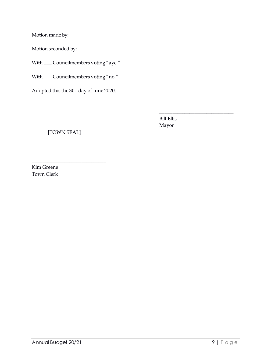Motion made by:

Motion seconded by:

With \_\_\_ Councilmembers voting "aye."

With \_\_\_ Councilmembers voting "no."

Adopted this the 30<sup>th</sup> day of June 2020.

Bill Ellis Mayor

\_\_\_\_\_\_\_\_\_\_\_\_\_\_\_\_\_\_\_\_\_\_\_\_\_\_\_\_\_\_

[TOWN SEAL]

\_\_\_\_\_\_\_\_\_\_\_\_\_\_\_\_\_\_\_\_\_\_\_\_\_\_\_\_\_\_

Kim Greene Town Clerk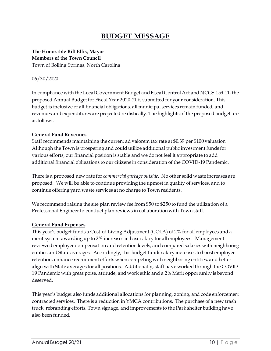# **BUDGET MESSAGE**

#### <span id="page-9-0"></span>**The Honorable Bill Ellis, Mayor Members of the Town Council** Town of Boiling Springs, North Carolina

#### 06/30/2020

In compliance with the Local Government Budget and Fiscal Control Act and NCGS-159-11, the proposed Annual Budget for Fiscal Year 2020-21 is submitted for your consideration. This budget is inclusive of all financial obligations, all municipal services remain funded, and revenues and expenditures are projected realistically. The highlights of the proposed budget are as follows:

#### **General Fund Revenues**

Staff recommends maintaining the current ad valorem tax rate at \$0.39 per \$100 valuation. Although the Town is prospering and could utilize additional public investment funds for various efforts, our financial position is stable and we do not feel it appropriate to add additional financial obligations to our citizens in consideration of the COVID-19 Pandemic.

There is a proposed new rate for *commercial garbage outside*. No other solid waste increases are proposed. We will be able to continue providing the upmost in quality of services, and to continue offering yard waste services at no charge to Town residents.

We recommend raising the site plan review fee from \$50 to \$250 to fund the utilization of a Professional Engineer to conduct plan reviews in collaboration with Town staff.

#### **General Fund Expenses**

This year's budget funds a Cost-of-Living Adjustment (COLA) of 2% for all employees and a merit system awarding up to 2% increases in base salary for all employees. Management reviewed employee compensation and retention levels, and compared salaries with neighboring entities and State averages. Accordingly, this budget funds salary increases to boost employee retention, enhance recruitment efforts when competing with neighboring entities, and better align with State averages for all positions. Additionally, staff have worked through the COVID-19 Pandemic with great poise, attitude, and work ethic and a 2% Merit opportunity is beyond deserved.

This year's budget also funds additional allocations for planning, zoning, and code enforcement contracted services. There is a reduction in YMCA contributions. The purchase of a new trash truck, rebranding efforts, Town signage, and improvements to the Park shelter building have also been funded.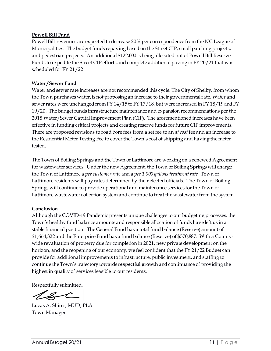#### **Powell Bill Fund**

Powell Bill revenues are expected to decrease 20% per correspondence from the NC League of Municipalities. The budget funds repaving based on the Street CIP, small patching projects, and pedestrian projects. An additional \$122,000 is being allocated out of Powell Bill Reserve Funds to expedite the Street CIP efforts and complete additional paving in FY 20/21 that was scheduled for FY 21/22.

#### **Water / Sewer Fund**

Water and sewer rate increases are not recommended this cycle. The City of Shelby, from whom the Town purchases water, is not proposing an increase to their governmental rate. Water and sewer rates were unchanged from FY 14/15 to FY 17/18, but were increased in FY 18/19 and FY 19/20. The budget funds infrastructure maintenance and expansion recommendations per the 2018 Water/Sewer Capital Improvement Plan (CIP). The aforementioned increases have been effective in funding critical projects and creating reserve funds for future CIP improvements. There are proposed revisions to road bore fees from a set fee to an *at cost* fee and an increase to the Residential Meter Testing Fee to cover the Town's cost of shipping and having the meter tested.

The Town of Boiling Springs and the Town of Lattimore are working on a renewed Agreement for wastewater services. Under the new Agreement, the Town of Boiling Springs will charge the Town of Lattimore a *per customer rate* and a *per 1,000 gallons treatment rate*. Town of Lattimore residents will pay rates determined by their elected officials. The Town of Boiling Springs will continue to provide operational and maintenance services for the Town of Lattimore wastewater collection system and continue to treat the wastewater from the system.

#### **Conclusion**

Although the COVID-19 Pandemic presents unique challenges to our budgeting processes, the Town's healthy fund balance amounts and responsible allocation of funds have left us in a stable financial position. The General Fund has a total fund balance (Reserve) amount of \$1,664,322 and the Enterprise Fund has a fund balance (Reserve) of \$570,887. With a Countywide revaluation of property due for completion in 2021, new private development on the horizon, and the reopening of our economy, we feel confident that the FY 21/22 Budget can provide for additional improvements to infrastructure, public investment, and staffing to continue the Town's trajectory towards **respectful growth** and continuance of providing the highest in quality of services feasible to our residents.

Respectfully submitted,

 $z\!\!\mathrel{{\small{\thinspace}\sim}}\!\!$ 

Lucas A. Shires, MUD, PLA Town Manager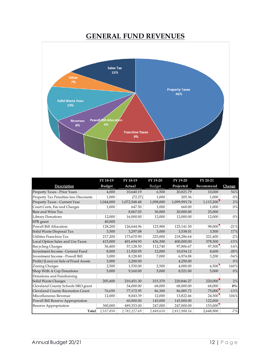## **GENERAL FUND REVENUES**

<span id="page-11-0"></span>

|                                              | FY 18-19      | FY 18-19     | FY 19-20      | FY 19-20     | FY 20-21  |         |
|----------------------------------------------|---------------|--------------|---------------|--------------|-----------|---------|
| Description                                  | <b>Budget</b> | Actual       | <b>Budget</b> | Projected    | Recommend | Change  |
| Property Taxes - Prior Years                 | 4,000         | 10,640.19    | 6,500         | 20,821.79    | 10,000    | 54%     |
| <b>Property Tax Penalties less Discounts</b> | 1,000         | (72.27)      | 1,000         | 205.36       | 1,000     | 0%      |
| Property Taxes - Current Year                | 1,044,000     | 1,072,548.48 | 1,098,000     | 1,099,993.74 | 1,115,200 | 2%      |
| Court Costs, Fee and Charges                 | 1,000         | 647.50       | 1,000         | 660.00       | 1,000     | $0\,\%$ |
| Beer and Wine Tax                            |               | 8.067.03     | 30,000        | 20,000.00    | 25,000    |         |
| Library Donations                            | 12,000        | 16,000.00    | 12,000        | 12,000.00    | 12,000    | $0\,\%$ |
| SPR grant                                    | 40,000        |              |               |              |           |         |
| Powell Bill Allocation                       | 128,200       | 126,644.96   | 123,900       | 125,141.50   | 98,000    | $-21%$  |
| Solid Waste Disposal Tax                     | 3,500         | 3,297.08     | 3,000         | 3,538.01     | 3,500     | 17%     |
| Utilities Franchise Tax                      | 217,200       | 173,670.90   | 225,000       | 218,286.64   | 221,400   | $-2%$   |
| Local Option Sales and Use Taxes             | 415,000       | 401,694.93   | 436,300       | 400,000.00   | 378,500   | $-13%$  |
| Recycling Charges                            | 56,400        | 57,128.50    | 112,740       | 97,806.67    | 97,500    | $-14%$  |
| Investment Income - General Fund             | 8,000         | 11,920.95    | 12,000        | 10,034.12    | 8,600     | $-28%$  |
| Investment Income - Powell Bill              | 3,000         | 8,128.80     | 7,000         | 6,974.88     | 3,200     | $-54%$  |
| Profit/(Loss) on Sale of Fixed Assets        | 3,000         | 2,200.00     |               | 4,250.00     |           | $0\,\%$ |
| Zoning Charges                               | 2,500         | 1,530.00     | 2,500         | 4,000.00     | 6,500     | 160%    |
| Shop With A Cop Donations                    | 5,000         | 9,160.00     | 5,000         | 8,521.00     | 5,000     | $0\%$   |
| Donations and Fundraising                    |               |              |               |              |           |         |
| Solid Waste Charges                          | 205,400       | 210,451.30   | 215,370       | 220,846.27   | 220,000   | 2%      |
| Cleveland County Schools SRO grant           |               | 34,000.00    | 68,000        | 68,000.00    | 68,000    | $0\%$   |
| Cleveland County Recreation Grant            | 76,650        | 77,172.95    | 86,300        | 86,085.72    | 75,000    | $-13%$  |
| Miscellaneous Revenue                        | 12,000        | 8,043.39     | 12,000        | 13,822.46    | 24,500    | 104%    |
| Powell Bill Reserve Appropriation            |               | 60,000.00    | 145,000       | 145,000.00   | 122,000   |         |
| Reserve Appropriation                        | 300,000       | 489,353.00   | 247,000       | 247,000.00   | 153,000   |         |
| Total                                        | 2,537,850     | 2,782,227.69 | 2,849,610     | 2,812,988.16 | 2,648,900 | $-7%$   |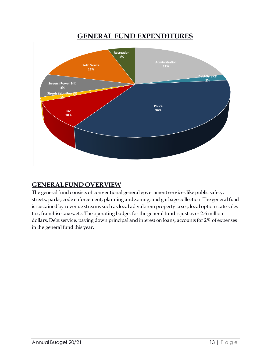## <span id="page-12-0"></span>**GENERAL FUND EXPENDITURES Recreation** 5% **Administration Solid Waste** 21% 16% eb<del>t Service</del>  $2%$ **Streets (Powell Bill)** 8% Streets (Non-Powell) Police 36% Fire 10%

# <span id="page-12-1"></span>**GENERAL FUND OVERVIEW**

The general fund consists of conventional general government services like public safety, streets, parks, code enforcement, planning and zoning, and garbage collection. The general fund is sustained by revenue streams such as local ad valorem property taxes, local option state sales tax, franchise taxes, etc. The operating budget for the general fund is just over 2.6 million dollars. Debt service, paying down principal and interest on loans, accounts for 2% of expenses in the general fund this year.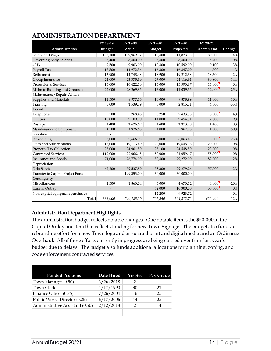## <span id="page-13-0"></span>**ADMINISTRATION DEPARTMENT**

|                                  | FY 18-19      | FY 18-19   | FY 19-20      | FY 19-20   | FY 20-21  |          |
|----------------------------------|---------------|------------|---------------|------------|-----------|----------|
| Administration                   | <b>Budget</b> | Actual     | <b>Budget</b> | Projected  | Recommend | Change   |
| Salary and Wages                 | 193,100       | 189,969.57 | 210,400       | 211,823.35 | 180,600   | $-14%$   |
| Governing Body Salaries          | 8,400         | 8,400.00   | 8,400         | 8,400.00   | 8,400     | 0%       |
| 401k                             | 9,500         | 9,903.00   | 10,400        | 10,592.00  | 9,100     | $-13%$   |
| Payroll Tax                      | 15,500        | 14,972.56  | 16,800        | 16,847.09  | 14,500    | $-14%$   |
| Retirement                       | 13,900        | 14,748.48  | 18,900        | 19,212.38  | 18,600    | $-2%$    |
| Group Insurance                  | 24,000        | 23,375.59  | 27,000        | 24,116.91  | 30,800    | 14%      |
| Professional Services            | 15,000        | 16,422.50  | 15,000        | 15,593.87  | 15,000    | $0\%$    |
| Maint to Building and Grounds    | 22,000        | 28,269.85  | 16,000        | 11,039.55  | 12,000    | $-25%$   |
| Maintenance/Repair Vehicle       |               |            |               |            |           |          |
| Supplies and Materials           | 11,500        | 8,977.56   | 10,000        | 9,878.99   | 11,000    | 10%      |
| Training                         | 5,000         | 1,539.19   | 6,000         | 2,815.71   | 4,000     | $-33%$   |
| Travel                           |               |            |               |            |           |          |
| Telephone                        | 5,500         | 5,268.46   | 6,250         | 7,433.35   | 6,500     | 4%       |
| <b>Utilities</b>                 | 10,000        | 9,109.00   | 11,000        | 9,454.31   | 12,000    | 9%       |
| Postage                          | 1,400         | 1,626.69   | 1,400         | 1,373.20   | 1,400     | $0\, \%$ |
| Maintenance to Equipment         | 4,500         | 1,926.63   | 1,000         | 967.25     | 1,500     | 50%      |
| Gasoline                         |               |            |               |            |           |          |
| Advertising                      | 3,000         | 2,666.95   | 8,000         | 6,063.43   | 6,000     | $-25%$   |
| Dues and Subscriptions           | 17,000        | 19,113.49  | 20,000        | 19,645.16  | 20,000    | $0\%$    |
| Property Tax Collection          | 23,000        | 24,901.50  | 23,100        | 24,548.50  | 23,000    | 0%       |
| <b>Contracted Services</b>       | 112,000       | 22,066.15  | 50,000        | 31,059.17  | 55,000    | 10%      |
| <b>Insurance and Bonds</b>       | 74,000        | 76,774.00  | 80,400        | 79,272.00  | 82,000    | 2%       |
| Depreciation                     |               |            |               |            |           |          |
| Debt Service                     | 62,200        | 59,537.89  | 58,300        | 29,279.26  | 57,000    | $-2%$    |
| Transfer to Capital Project Fund |               | 199,353.00 | 30,000        | 30,000.00  |           |          |
| Contingency                      |               |            |               |            |           |          |
| Miscellaneous                    | 2,500         | 1,863.04   | 5,000         | 4,673.52   | 4,000     | $-20%$   |
| Capital Outlay                   |               |            | 62,000        | 10,300.00  | 50,000    | $0\, \%$ |
| Non-capital equipment purchases  |               |            | 12,200        | 9,923.72   |           | $0\%$    |
| <b>Total</b>                     | 633,000       | 740,785.10 | 707,550       | 594,312.72 | 622,400   | $-12%$   |

#### **Administration Department Highlights**

The administration budget reflects notable changes. One notable item is the \$50,000 in the Capital Outlay line item that reflects funding for new Town Signage. The budget also funds a rebranding effort for a new Town logo and associated print and digital media and an Ordinance Overhaul. All of these efforts currently in progress are being carried over from last year's budget due to delays. The budget also funds additional allocations for planning, zoning, and code enforcement contracted services.

| <b>Funded Positions</b>         | Date Hired | Yrs Svc | Pay Grade |
|---------------------------------|------------|---------|-----------|
| Town Manager (0.50)             | 3/26/2018  | っ       |           |
| <b>Town Clerk</b>               | 1/17/1990  | 30      | 21        |
| Finance Officer (0.75)          | 7/26/2004  | 16      | 25        |
| Public Works Director (0.25)    | 6/17/2006  | 14      | 25        |
| Administrative Assistant (0.50) | 2/12/2018  | 2       | 14        |
|                                 |            |         |           |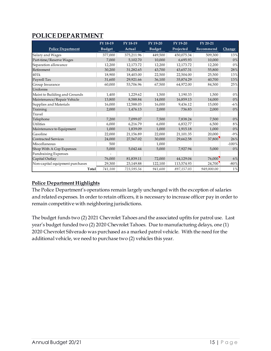## <span id="page-14-0"></span>**POLICE DEPARTMENT**

|                                 | FY 18-19      | FY 18-19   | FY 19-20      | FY 19-20   | FY 20-21   |          |
|---------------------------------|---------------|------------|---------------|------------|------------|----------|
| <b>Police Department</b>        | <b>Budget</b> | Actual     | <b>Budget</b> | Projected  | Recommend  | Change   |
| Salary and Wages                | 377,000       | 375,211.96 | 449,500       | 450,075.34 | 509,300    | 13%      |
| Part-time/Reserve Wages         | 7,000         | 5,102.70   | 10,000        | 6,695.93   | 10,000     | 0%       |
| Separation allowance            | 12,200        | 12,173.72  | 12,200        | 12,173.72  | 12,200     | 0%       |
| Retirement                      | 30,200        | 31,282.65  | 43,700        | 43,657.31  | 55,800     | 28%      |
| 401k                            | 18,900        | 18,403.00  | 22,500        | 22,504.00  | 25,500     | 13%      |
| Payroll Tax                     | 31,600        | 29,921.66  | 36,100        | 35,874.29  | 40,700     | 13%      |
| Group Insurance                 | 60,000        | 53,706.96  | 67,500        | 64,972.00  | 84,500     | 25%      |
| Uniforms                        |               |            |               |            |            |          |
| Maint to Building and Grounds   | 1,400         | 1,229.62   | 1,500         | 1,190.33   | 1,500      | $0\%$    |
| Maintenance/Repair Vehicle      | 13,800        | 8,588.84   | 14,000        | 16,859.13  | 14,000     | 0%       |
| Supplies and Materials          | 16,000        | 12,588.03  | 16,000        | 9.436.12   | 15,000     | $-6\%$   |
| Training                        | 2,000         | 1,476.13   | 2,000         | 736.83     | 2,000      | 0%       |
| Travel                          |               |            |               |            |            |          |
| Telephone                       | 7,200         | 7,099.07   | 7,500         | 7,838.24   | 7,500      | $0\, \%$ |
| <b>Utilities</b>                | 6,000         | 6,216.79   | 6,000         | 6,832.77   | 6,500      | 8%       |
| Maintenance to Equipment        | 1,000         | 1,839.09   | 1,000         | 1,915.18   | 1,000      | 0%       |
| Gasoline                        | 22,000        | 21,156.89  | 22,000        | 21,101.35  | 20,000     | $-9%$    |
| <b>Contracted Services</b>      | 24,000        | 27,567.02  | 30,000        | 29,662.58  | 37,800     | 26%      |
| Miscellaneous                   | 500           |            | 1,000         |            |            | $-100%$  |
| Shop With A Cop Expenses        | 5,000         | 5,042.44   | 5,000         | 7,927.94   | 5,000      | 0%       |
| <b>Fundraising Expenses</b>     |               |            |               |            |            |          |
| Capital Outlay                  | 76,000        | 81,839.11  | 72,000        | 44,129.04  | 76,000     | 6%       |
| Non-capital equipment purchases | 29,300        | 23,149.88  | 122,100       | 113,574.93 | 24,700     | $-80%$   |
| Total                           | 741,100       | 723,595.56 | 941,600       | 897,157.03 | 949,000.00 | $1\, \%$ |

#### **Police Department Highlights**

The Police Department's operations remain largely unchanged with the exception of salaries and related expenses. In order to retain officers, it is necessary to increase officer pay in order to remain competitive with neighboring jurisdictions.

The budget funds two (2) 2021 Chevrolet Tahoes and the associated upfits for patrol use. Last year's budget funded two (2) 2020 Chevrolet Tahoes. Due to manufacturing delays, one (1) 2020 Chevrolet Silverado was purchased as a marked patrol vehicle. With the need for the additional vehicle, we need to purchase two (2) vehicles this year.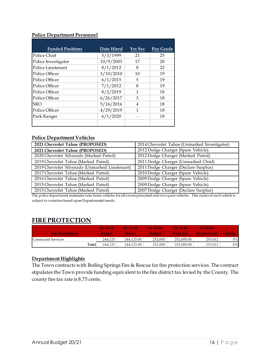#### **Police Department Personnel**

| <b>Funded Positions</b> | Date Hired | <b>Yrs</b> Svc | Pay Grade |
|-------------------------|------------|----------------|-----------|
| Police Chief            | 5/3/1999   | 21             | 25        |
| Police Investigator     | 10/9/2003  | 17             | 20        |
| Police Lieutenant       | 8/1/2012   | 8              | 22        |
| Police Officer          | 3/10/2010  | 10             | 19        |
| Police Officer          | 6/1/2015   | 5              | 19        |
| Police Officer          | 7/1/2012   | 8              | 19        |
| Police Officer          | 8/2/2019   | 1              | 18        |
| Police Officer          | 6/26/2017  | 3              | 18        |
| <b>SRO</b>              | 5/16/2016  | $\overline{4}$ | 18        |
| Police Officer          | 4/29/2019  | 1              | 18        |
| Park Ranger             | 6/1/2020   |                | 18        |
|                         |            |                |           |

#### **Police Department Vehicles**

| 2021 Chevrolet Tahoe (PROPOSED)                | 2014 Chevrolet Tahoe (Unmarked Investigator) |
|------------------------------------------------|----------------------------------------------|
| 2021 Chevrolet Tahoe (PROPOSED)                | 2012 Dodge Charger (Spare Vehicle)           |
| 2020 Chevrolet Silverado (Marked Patrol)       | 2012 Dodge Charger (Marked Patrol)           |
| 2019 Chevrolet Tahoe (Marked Patrol)           | 2011 Dodge Charger (Unmarked Chief)          |
| 2019 Chevrolet Silverado (Unmarked Lieutenant) | 2011 Dodge Charger (Declare Surplus)         |
| 2017 Chevrolet Tahoe (Marked Patrol)           | 2010 Dodge Charger (Spare Vehicle)           |
| 2016 Chevrolet Tahoe (Marked Patrol)           | 2009 Dodge Charger (Spare Vehicle)           |
| 2015 Chevrolet Tahoe (Marked Patrol)           | 2009 Dodge Charger (Spare Vehicle)           |
| 2015 Chevrolet Tahoe (Marked Patrol)           | 2007 Dodge Charger (Declare Surplus)         |

<span id="page-15-0"></span>The police department maintains take home vehicles for all sworn personnel and two spare vehicles. This status of each vehicle is subject to variation based upon Departmental needs.

#### **FIRE PROTECTION**

|                        | <b>FY 18-19</b>  | FY 18-19      | $FY 19-20$    | <b>FY 19-20</b>  | <b>EV 20-21</b> |       |
|------------------------|------------------|---------------|---------------|------------------|-----------------|-------|
| <b>Fire Department</b> | <b>Budget</b>    | <b>Actual</b> | <b>Budget</b> | <b>Projected</b> | Recommend       |       |
| Contracted Services    | 244,125          | 244,125.00    | 252,000       | 252,000.00       | 253,012         | $0\%$ |
|                        | 244.125<br>Total | 244.125.00    | 252,000       | 252,000.00       | 253,012         | $0\%$ |

#### **Department Highlights**

The Town contracts with Boiling Springs Fire & Rescue for fire protection services. The contract stipulates the Town provide funding equivalent to the fire district tax levied by the County. The county fire tax rate is 8.75 cents.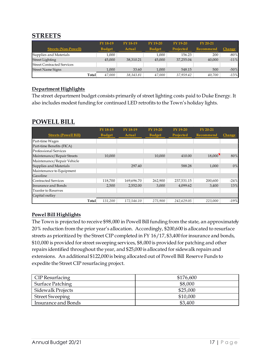## <span id="page-16-0"></span>**STREETS**

|                                   | FY 18-19      | FY 18-19  | $FY$ 19-20    | $FY$ 19-20       | $FY 20-21$ |               |
|-----------------------------------|---------------|-----------|---------------|------------------|------------|---------------|
| <b>Streets (Non-Powell)</b>       | <b>Budget</b> | Actual    | <b>Budget</b> | <b>Projected</b> | Recommend  | <b>Change</b> |
| Supplies and Materials            | 1.000         |           | 1.000         | 156.23           | 200        | $-80%$        |
| <b>Street Lighting</b>            | 45,000        | 38,310.21 | 45,000        | 37,255.04        | 40,000     | $-11%$        |
| <b>Street Contracted Services</b> |               |           |               |                  |            |               |
| <b>Street Name Signs</b>          | 1.000         | 33.60     | 1.000         | 548.15           | 500        | $-50%$        |
| Total                             | 47,000        | 38,343.81 | 47,000        | 37.959.42        | 40,700     | $-13%$        |

#### **Department Highlights**

The street department budget consists primarily of street lighting costs paid to Duke Energy. It also includes modest funding for continued LED retrofits to the Town's holiday lights.

### <span id="page-16-1"></span>**POWELL BILL**

|                              |       | FY 18-19      | FY 18-19   | FY 19-20      | FY 19-20   | FY 20-21  |        |
|------------------------------|-------|---------------|------------|---------------|------------|-----------|--------|
| <b>Streets (Powell Bill)</b> |       | <b>Budget</b> | Actual     | <b>Budget</b> | Projected  | Recommend | Change |
| Part-time Wages              |       |               |            |               |            |           |        |
| Part-time Benefits (FICA)    |       |               |            |               |            |           |        |
| <b>Professional Services</b> |       |               |            |               |            |           |        |
| Maintenance/Repair Streets   |       | 10,000        |            | 10,000        | 410.00     | 18,000    | 80%    |
| Maintenance/Repair Vehicle   |       |               |            |               |            |           |        |
| Supplies and Materials       |       |               | 297.40     |               | 588.28     | 1,000     | 0%     |
| Maintenance to Equipment     |       |               |            |               |            |           |        |
| Gasoline                     |       |               |            |               |            |           |        |
| <b>Contracted Services</b>   |       | 118,700       | 169,696.70 | 262,900       | 237,531.15 | 200,600   | $-24%$ |
| <b>Insurance and Bonds</b>   |       | 2,500         | 2,552.00   | 3,000         | 4,099.62   | 3,400     | 13%    |
| <b>Tranfer to Reserves</b>   |       |               |            |               |            |           |        |
| Capital outlay               |       |               |            |               |            |           |        |
|                              | Total | 131,200       | 172,546.10 | 275.900       | 242,629.05 | 223,000   | $-19%$ |

#### **Powel Bill Highlights**

The Town is projected to receive \$98,000 in Powell Bill funding from the state, an approximately 20% reduction from the prior year's allocation. Accordingly, \$200,600 is allocated to resurface streets as prioritized by the Street CIP completed in FY 16/17, \$3,400 for insurance and bonds, \$10,000 is provided for street sweeping services, \$8,000 is provided for patching and other repairs identified throughout the year, and \$25,000 is allocated for sidewalk repairs and extensions. An additional \$122,000 is being allocated out of Powell Bill Reserve Funds to expedite the Street CIP resurfacing project.

| CIP Resurfacing        | \$176,600 |
|------------------------|-----------|
| Surface Patching       | \$8,000   |
| Sidewalk Projects      | \$25,000  |
| <b>Street Sweeping</b> | \$10,000  |
| Insurance and Bonds    | \$3,400   |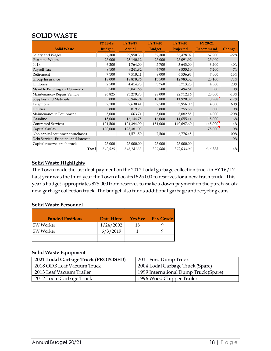## <span id="page-17-0"></span>**SOLID WASTE**

|                                       | FY 18-19      | FY 18-19      | FY 19-20      | FY 19-20         | FY 20-21  |               |
|---------------------------------------|---------------|---------------|---------------|------------------|-----------|---------------|
| <b>Solid Waste</b>                    | <b>Budget</b> | <b>Actual</b> | <b>Budget</b> | <b>Projected</b> | Recommend | <b>Change</b> |
| Salary and Wages                      | 97,300        | 99,950.33     | 87,300        | 86,478.02        | 67,900    | $-22%$        |
| Part-time Wages                       | 25,000        | 23,140.12     | 25,000        | 25,091.92        | 25,000    |               |
| 401k                                  | 6,200         | 4,764.00      | 5,700         | 3,643.00         | 3,400     | $-40%$        |
| Payroll Tax                           | 8,100         | 9,241.82      | 6,700         | 8,535.10         | 7,200     | 7%            |
| Retirement                            | 7,100         | 7,518.41      | 8,000         | 6,536.93         | 7,000     | $-13%$        |
| Group Insurance                       | 18,000        | 18,878.76     | 13,500        | 12,983.52        | 23,100    | 71%           |
| Uniforms                              | 2,500         | 4,414.73      | 3,760         | 5,713.25         | 4,500     | 20%           |
| Maint to Building and Grounds         | 5,500         | 3,041.66      | 500           | 494.61           | 500       | 0%            |
| Maintenance/Repair Vehicle            | 26,825        | 23,279.73     | 28,000        | 22,712.16        | 23,000    | $-18%$        |
| Supplies and Materials                | 5,000         | 6,946.24      | 10,800        | 11,920.89        | 8,988     | $-17%$        |
| Telephone                             | 2,100         | 2,630.41      | 2,500         | 3,956.09         | 4,000     | 60%           |
| <b>Utilities</b>                      | 800           | 819.23        | 800           | 755.56           | 800       | 0%            |
| Maintenance to Equipment              | 5,000         | 663.71        | 5,000         | 3,082.85         | 4,000     | $-20%$        |
| Gasoline                              | 15,000        | 16,144.75     | 16,000        | 14,655.11        | 15,000    | $-6\%$        |
| <b>Contracted Services</b>            | 101,500       | 104,394.90    | 151,000       | 140,697.60       | 145,000   | $-4%$         |
| Capital Outlay                        | 190,000       | 193,381.03    |               |                  | 75,000    | 0%            |
| Non-capital equipment purchases       |               | 1,571.50      | 7,500         | 6,776.45         |           | $-100%$       |
| Debt Service - Principal and Interest |               |               |               |                  |           | $0\%$         |
| Capital reserve - trash truck         | 25,000        | 25,000.00     | 25,000        | 25,000.00        |           |               |
| Total                                 | 540,925       | 545,781.33    | 397,060       | 379,033.06       | 414,388   | 4%            |

#### **Solid Waste Highlights**

The Town made the last debt payment on the 2012 Lodal garbage collection truck in FY 16/17. Last year was the third year the Town allocated \$25,000 to reserves for a new trash truck. This year's budget appropriates \$75,000 from reserves to make a down payment on the purchase of a new garbage collection truck. The budget also funds additional garbage and recycling cans.

#### **Solid Waste Personnel**

| <b>Funded Positions</b> | Date Hired | <b>Yrs Svc</b> | <b>Pay Grade</b> |
|-------------------------|------------|----------------|------------------|
| SW Worker               | 1/24/2002  | 18             |                  |
| <b>SW Worker</b>        | 6/3/2019   |                |                  |
|                         |            |                |                  |

#### **Solid Waste Equipment**

| 2021 Lodal Garbage Truck (PROPOSED) | 2011 Ford Dump Truck                  |
|-------------------------------------|---------------------------------------|
| 2018 ODB Leaf Vacuum Truck          | 2004 Lodal Garbage Truck (Spare)      |
| 2013 Leaf Vacuum Trailer            | 1999 International Dump Truck (Spare) |
| 2012 Lodal Garbage Truck            | 1996 Wood Chipper Trailer             |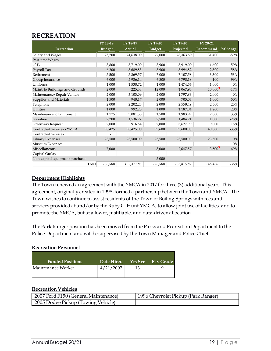## <span id="page-18-0"></span>**RECREATION**

|                                 | FY 18-19      | FY 18-19   | FY 19-20      | FY 19-20   | FY 20-21  |             |
|---------------------------------|---------------|------------|---------------|------------|-----------|-------------|
| Recreation                      | <b>Budget</b> | Actual     | <b>Budget</b> | Projected  | Recommend | $\%$ Change |
| Salary and Wages                | 75,200        | 74,638.00  | 77,000        | 78,363.60  | 31,400    | $-59%$      |
| Part-time Wages                 |               |            |               |            |           |             |
| 401k                            | 3,800         | 3,719.00   | 3,900         | 3,919.00   | 1,600     | $-59%$      |
| Payroll Tax                     | 6,200         | 5,689.85   | 5,900         | 5,994.82   | 2,500     | $-58%$      |
| Retirement                      | 5,500         | 5,869.57   | 7,000         | 7,107.58   | 3,300     | $-53%$      |
| Group Insurance                 | 6,000         | 5,986.14   | 6,800         | 6,798.18   | 100       | $-99%$      |
| Uniforms                        | 1,000         | 1,538.72   | 1,000         | 1,474.56   | 1,000     | $0\%$       |
| Maint. to Buildings and Grounds | 2,000         | 225.38     | 12,000        | 1,067.93   | 10,000    | $-17%$      |
| Maintenance/Repair Vehicle      | 2,000         | 3,103.09   | 2,000         | 1,797.83   | 2,000     | 0%          |
| Supplies and Materials          | 1,500         | 948.17     | 2,000         | 703.03     | 1,000     | $-50%$      |
| Telephone                       | 2,000         | 2,202.23   | 2,000         | 2,558.49   | 2,500     | 25%         |
| <b>Utilities</b>                | 1,000         | 992.25     | 1,000         | 1,187.04   | 1,200     | 20%         |
| Maintenance to Equipment        | 1,175         | 3,081.55   | 1,500         | 1,983.99   | 2,000     | 33%         |
| Gasoline                        | 2,200         | 1,536.27   | 2,500         | 1,484.21   | 1,800     | $-28%$      |
| Greenway Request                | 2,000         | 916.64     | 7,800         | 3,627.99   | 9,000     | 15%         |
| Contracted Services - YMCA      | 58,425        | 58,425.00  | 59,600        | 59,600.00  | 40,000    | $-33%$      |
| <b>Contracted Services</b>      |               |            |               |            |           |             |
| Library Expenses                | 23,500        | 23,500.00  | 23,500        | 23,500.00  | 23,500    | 0%          |
| Museum Expenses                 |               |            |               |            |           | 0%          |
| Miscellaneous                   | 7,000         |            | 8,000         | 2,647.57   | 13,500    | 69%         |
| Capital Outlay                  |               |            |               |            |           |             |
| Non-capital equipment purchase  |               |            | 5,000         |            |           |             |
| Total                           | 200,500       | 192,371.86 | 228,500       | 203,815.82 | 146,400   | $-36%$      |

#### **Department Highlights**

The Town renewed an agreement with the YMCA in 2017 for three (3) additional years. This agreement, originally created in 1998, formed a partnership between the Town and YMCA. The Town wishes to continue to assist residents of the Town of Boiling Springs with fees and services provided at and/or by the Ruby C. Hunt YMCA, to allow joint use of facilities, and to promote the YMCA, but at a lower, justifiable, and data-driven allocation.

The Park Ranger position has been moved from the Parks and Recreation Department to the Police Department and will be supervised by the Town Manager and Police Chief.

#### **Recreation Personnel**

| <b>Funded Positions</b> | Date Hired | <b>Yrs</b> Svc | <b>Pay Grade</b> |
|-------------------------|------------|----------------|------------------|
| Maintenance Worker      | 4/21/2007  | 13             |                  |
|                         |            |                |                  |

#### **Recreation Vehicles**

| <sup>1</sup> 2007 Ford F150 (General Maintenance) | 1996 Chevrolet Pickup (Park Ranger) |
|---------------------------------------------------|-------------------------------------|
| 2005 Dodge Pickup (Towing Vehicle)                |                                     |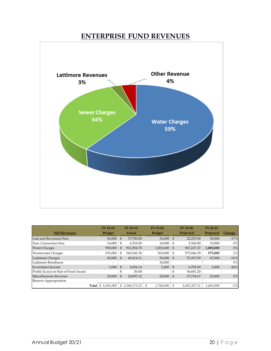## **ENTERPRISE FUND REVENUES**

<span id="page-19-0"></span>

|                                       |       | FY 18-19                 | FY 18-19       |                | FY 19-20       |           | FY 19-20     | FY 20-21  |               |
|---------------------------------------|-------|--------------------------|----------------|----------------|----------------|-----------|--------------|-----------|---------------|
| <b>W/S Revenues</b>                   |       | <b>Budget</b>            |                |                | <b>Budget</b>  | Projected |              | Proposed  | <b>Change</b> |
| Late and Reconnect Fees               |       | 36,000                   | $\mathfrak{S}$ | 37.780.00      | $36,000$ \$    |           | 22,255.00    | 30,000    | $-17%$        |
| New Connection Fees                   |       | 14,000                   | \$             | 6,510.00       | 10,000         | -S        | 5,360.00     | 10,000    | $0\%$         |
| <b>Water Charges</b>                  |       | 950,000                  | \$             | 921.854.78     | 1,003,600      | \$        | 967,227.27   | 1,000,000 | 0%            |
| <b>Wastewater Charges</b>             |       | 533,000                  | \$             | 549,242.38     | 565,000        | -S        | 573,046.29   | 575,000   | 2%            |
| Lattimore Charges                     |       | 45,000                   | \$             | 40.414.11      | 56,000         | \$        | 53,357.09    | 47,000    | $-16%$        |
| Lattimore Reimburse                   |       | $\overline{\phantom{0}}$ |                |                | 10,000         |           |              |           | $0\%$         |
| Investment Income                     |       | 3,000                    | $\mathfrak{S}$ | 5,824.14       | 5,400          | \$        | 6,705.69     | 3,000     | $-44%$        |
| Profit/(Loss) on Sale of Fixed Assets |       |                          | \$             | 50.00          |                | \$        | 36,681.20    |           |               |
| Miscellaneous Revenue                 |       | 20,000                   | $\mathfrak{S}$ | 24,897.12      | 20,000         | \$        | 27,754.67    | 20,000    | 0%            |
| Reserve Appropriation                 |       |                          |                |                |                |           |              |           |               |
|                                       | Total | \$1,601,000              |                | \$1.586.572.53 | 1,706,000<br>S | \$        | 1.692.387.21 | 1,685,000 | $-1\%$        |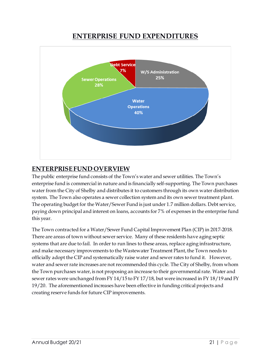# **ENTERPRISE FUND EXPENDITURES**

<span id="page-20-0"></span>

## <span id="page-20-1"></span>**ENTERPRISE FUND OVERVIEW**

The public enterprise fund consists of the Town's water and sewer utilities. The Town's enterprise fund is commercial in nature and is financially self-supporting. The Town purchases water from the City of Shelby and distributes it to customers through its own water distribution system. The Town also operates a sewer collection system and its own sewer treatment plant. The operating budget for the Water/Sewer Fund is just under 1.7 million dollars. Debt service, paying down principal and interest on loans, accounts for 7% of expenses in the enterprise fund this year.

The Town contracted for a Water/Sewer Fund Capital Improvement Plan (CIP) in 2017-2018. There are areas of town without sewer service. Many of these residents have aging septic systems that are due to fail. In order to run lines to these areas, replace aging infrastructure, and make necessary improvements to the Wastewater Treatment Plant, the Town needs to officially adopt the CIP and systematically raise water and sewer rates to fund it. However, water and sewer rate increases are not recommended this cycle. The City of Shelby, from whom the Town purchases water, is not proposing an increase to their governmental rate. Water and sewer rates were unchanged from FY 14/15 to FY 17/18, but were increased in FY 18/19 and FY 19/20. The aforementioned increases have been effective in funding critical projects and creating reserve funds for future CIP improvements.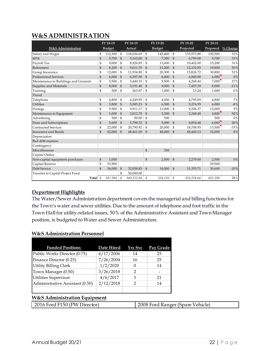## <span id="page-21-0"></span>**W&S ADMINISTRATION**

|                                      |                | FY 18-19      | FY 18-19       |            | FY 19-20       |               |                | FY 19-20   | FY 20-21 |             |
|--------------------------------------|----------------|---------------|----------------|------------|----------------|---------------|----------------|------------|----------|-------------|
| <b>W&amp;S Administration</b>        |                | <b>Budget</b> |                | Actual     |                | <b>Budget</b> | Projected      |            | Proposed | $\%$ Change |
| Salary and Wages                     | \$             | 112,300       | $\mathfrak{S}$ | 118,036.69 | \$             | 145,400       | \$             | 135,973.88 | 192,500  | 32%         |
| 401k                                 | $\mathfrak{S}$ | 5,700         | $\mathbb{S}$   | 5,162.00   | $\mathfrak{S}$ | 7,300         | $\mathbb{S}$   | 6,799.00   | 9,700    | 33%         |
| Payroll Tax                          | \$             | 9,000         | \$             | 8,926.85   | \$             | 11,600        | \$             | 10,402.00  | 15,200   | 31%         |
| Retirement                           | $\mathbb{S}$   | 8,200         | $\mathbb{S}$   | 9,011.70   | $\mathfrak{s}$ | 13,200        | $\mathfrak{S}$ | 12,332.83  | 19,800   | 50%         |
| Group Insurance                      | \$             | 12,000        | $\mathbb{S}$   | 11,934.88  | $\mathfrak{s}$ | 20,300        | \$             | 15,826.72  | 30,800   | 52%         |
| <b>Professional Services</b>         | $\mathbb{S}$   | 6,000         | $\mathbb{S}$   | 6,397.50   | $\mathfrak{s}$ | 6,000         | $\mathfrak{S}$ | 6,000.00   | 6,000    | 0%          |
| Maintenance to Buildings and Grounds | \$             | 5,500         | \$             | 5,440.33   | \$             | 5,500         | \$             | 4,268.44   | 7,000    | 27%         |
| Supplies and Materials               | $\frac{1}{2}$  | 8,000         | $\mathbb{S}$   | 5,191.48   | $\mathfrak{S}$ | 9,000         | $\mathfrak{S}$ | 7,457.39   | 8,000    | $-11%$      |
| Training                             | \$             | 500           | \$             | 263.07     | \$             | 1,000         | \$             | 13.24      | 1,000    | 0%          |
| Travel                               |                |               |                |            |                |               |                |            |          |             |
| Telephone                            | \$             | 4,800         | \$             | 4,249.95   | \$             | 4,500         | \$             | 4.795.09   | 4.800    | 7%          |
| <b>Utilities</b>                     | $\mathbb{S}$   | 5,800         | \$             | 5,585.23   | $\mathfrak{S}$ | 6,500         | $\mathfrak{S}$ | 5,276.95   | 6,000    | $-8%$       |
| Postage                              | \$             | 9,500         | \$             | 9,911.17   | $\mathfrak{s}$ | 11,000        | \$             | 9,206.37   | 12,000   | 9%          |
| Maintenance to Equipment             | \$             | 1,000         | $\mathbb{S}$   | 2,012.70   | $\mathfrak{s}$ | 2,500         | $\mathfrak{S}$ | 2,248.48   | 4,800    | 92%         |
| Advertising                          | \$             | 500           | $\mathfrak{S}$ | 90.00      | $\mathbb{S}$   | 500           |                |            | 500      | 0%          |
| Dues and Subscriptions               | $\mathfrak{S}$ | 5,600         | $\frac{6}{5}$  | 5,798.32   | $\mathfrak{s}$ | 5,000         | $\mathfrak{S}$ | 4,854.48   | 6,000    | 20%         |
| <b>Contracted Services</b>           | \$             | 22,000        | \$             | 20,790.92  | \$             | 20,000        | \$             | 18,708.95  | 13,500   | $-33%$      |
| <b>Insurance and Bonds</b>           | $\mathcal{S}$  | 42,000        | $\mathbb{S}$   | 48,461.00  | $\mathfrak{s}$ | 48,000        | $\mathfrak{S}$ | 48,460.13  | 52,000   | 8%          |
| Depreciation                         |                |               |                |            |                |               |                |            |          |             |
| Bad debt expense                     |                |               |                |            |                |               |                |            |          |             |
| Contingency                          |                |               |                |            |                |               |                |            |          |             |
| Miscellaneous                        |                |               |                |            | $\mathbb{S}$   | 350           |                |            |          |             |
| Capital Outlay                       |                |               |                |            |                |               |                |            |          |             |
| Non-capital equipment purchases      | $\mathbb{S}$   | 1,000         |                |            | $\mathfrak{S}$ | 2,500         | $\mathfrak{S}$ | 2,279.00   | 2,500    | 0%          |
| Capital Reserve                      | \$             | 53,900        |                |            |                |               |                |            | 29,500   |             |
| Debt Service                         | $\mathbb{S}$   | 34,000        | $\mathfrak{S}$ | 32,058.85  | $\mathfrak{S}$ | 34,000        | $\mathfrak{S}$ | 31,355.71  | 30,600   | $-10%$      |
| Transfer to Capital Project Fund     |                |               | \$             | 50,000.00  |                |               |                |            |          |             |
| Total \$                             |                | 347,300       | \$             | 349,322.64 | \$             | 354,150       | \$             | 326,258.66 | 452,200  | 28%         |

#### **Department Highlights**

The Water/Sewer Administration department covers the managerial and billing functions for the Town's water and sewer utilities. Due to the amount of telephone and foot traffic in the Town Hall for utility-related issues, 50% of the Administrative Assistant and Town Manager position, is budgeted to Water and Sewer Administration.

#### **W&S Administration Personnel**

| <b>Funded Positions</b>         | Date Hired | <b>Yrs</b> Svc | Pay Grade |
|---------------------------------|------------|----------------|-----------|
| Public Works Director (0.75)    | 6/17/2006  | 14             | 25        |
| Finance Director (0.25)         | 7/26/2004  | 16             | 25        |
| <b>Utility Billing Clerk</b>    | 1/2/2020   |                | 14        |
| Town Manager (0.50)             | 3/26/2018  |                |           |
| <b>Utilities Supervisor</b>     | 4/6/2017   | З              | 21        |
| Administrative Assistant (0.50) | 2/12/2018  |                | 14        |
|                                 |            |                |           |

#### **W&S Administration Equipment**

|--|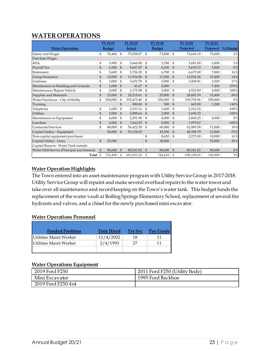## <span id="page-22-0"></span>**WATER OPERATIONS**

|                                             |                | FY 18-19      |                | FY 18-19   |                | FY 19-20      |                | FY 19-20   | FY 20-21 |            |
|---------------------------------------------|----------------|---------------|----------------|------------|----------------|---------------|----------------|------------|----------|------------|
| <b>Water Operations</b>                     |                | <b>Budget</b> |                | Actual     |                | <b>Budget</b> |                | Projected  | Proposed | $%$ Change |
| Salary and Wages                            | \$             | 76,400        | $\mathfrak{s}$ | 75,558.07  | $\mathcal{S}$  | 73,800        | $\mathfrak{s}$ | 73,604.19  | 75,000   | 2%         |
| Part-time Wages                             |                |               |                |            |                |               |                |            |          |            |
| 401k                                        | \$             | 3,900         | \$             | 3,666.00   | \$             | 3,700         | $\mathfrak{s}$ | 3,681.00   | 3,800    | 3%         |
| Payroll Tax                                 | \$             | 6,300         | $\mathfrak{S}$ | 5,607.07   | \$             | 6,100         | $\mathfrak{S}$ | 5,630.72   | 5,800    | $-5%$      |
| Retirement                                  | \$             | 5,600         | \$             | 5,756.20   | \$             | 6,700         | \$             | 6,675.90   | 7,800    | 16%        |
| Group Insurance                             | \$             | 12,000        | $\mathfrak{S}$ | 11,934.88  | $\mathfrak{S}$ | 13,500        | $\mathfrak{S}$ | 13,554.24  | 15,400   | 14%        |
| Uniforms                                    | \$             | 3,000         | \$             | 3,652.78   | \$             | 3,000         | $\mathfrak{s}$ | 3,408.81   | 3,500    | 17%        |
| Maintenance to Building and Grounds         | \$             | 1,000         | $\mathfrak{S}$ | 41.67      | $\mathfrak{s}$ | 2,000         |                |            | 7,400    | 270%       |
| Maintenance/Repair Vehicle                  | \$             | 2,000         | \$             | 1,175.98   | $\mathcal{S}$  | 2,000         | $\mathfrak{s}$ | 4,522.89   | 4,000    | 100%       |
| Supplies and Materials                      | \$             | 23,000        | $\mathfrak{S}$ | 20,219.61  | \$             | 29,000        | $\mathfrak{S}$ | 28,603.39  | 53,400   | 84%        |
| Water Purchases - City of Shelby            | \$             | 350,000       | $\mathfrak{s}$ | 335,475.40 | $\mathfrak{s}$ | 350,000       | $\mathfrak{s}$ | 339,792.96 | 350,000  | 0%         |
| Training                                    |                |               | $\mathfrak{S}$ | 300.00     | $\mathfrak{S}$ | 500           | $\mathfrak{S}$ | 665.00     | 1,200    | 140%       |
| Telephone                                   | \$             | 1,600         | \$             | 2,333.16   | \$             | 1,600         | $\mathfrak{s}$ | 2,316.32   |          | $-100%$    |
| <b>Utilities</b>                            | \$             | 2,000         | $\mathfrak{S}$ | 3,088.64   | $\mathfrak{s}$ | 2,000         | $\mathfrak{S}$ | 2,690.32   |          | $-100%$    |
| Maintenance to Equipment                    | \$             | 4,000         | \$             | 2,291.90   | \$             | 4,000         | \$             | 2,868.25   | 4,000    | 0%         |
| Gasoline                                    | \$             | 6,000         | $\mathfrak{S}$ | 7,642.05   | $\mathfrak{S}$ | 8,000         | $\mathfrak{S}$ | 7,979.67   |          | $-100%$    |
| <b>Contracted Services</b>                  | \$             | 48,000        | \$             | 56,422.30  | \$             | 60,000        | \$             | 62,989.58  | 71,000   | 18%        |
| Capital Outlay - Equipment                  |                | 58,000        | $\mathfrak{S}$ | 59,128.05  |                | 43,500        | $\mathcal{S}$  | 40,398.79  | 13,000   | $-70%$     |
| Non-capital equipment purchases             |                |               |                |            | \$             | 8,650         | \$             | 2,275.00   | 10,000   | 16%        |
| Capital Outlay - Lines                      | $\mathbb{S}$   | 25,000        |                |            | $\mathfrak{S}$ | 38,000        |                |            | 55,000   | 45%        |
| Capital Reserve - Water Tank outside        |                |               |                |            |                |               |                |            |          |            |
| Water Debt Service (Principal and Interest) | $\mathfrak{S}$ | 88,600        | $\mathfrak{s}$ | 88,541.82  | $\mathfrak{S}$ | 88,600        | $\mathfrak{S}$ | 88,541.82  | 88,600   | $0\%$      |
| Total $\frac{1}{2}$                         |                | 716,400       | \$             | 682,835.58 | \$             | 744,650       | \$             | 690,198.85 | 768,900  | $3\,\%$    |

#### **Water Operation Highlights**

The Town entered into an asset maintenance program with Utility Service Group in 2017-2018. Utility Service Group will repaint and make several overhaul repairs to the water tower and take over all maintenance and record keeping on the Town's water tank. This budget funds the replacement of the water vault at Boiling Springs Elementary School, replacement of several fire hydrants and valves, and a chisel for the newly purchased mini excavator.

#### **Water Operations Personnel**

| <b>Funded Positions</b>       | Date Hired | <b>Yrs</b> Svc | Pay Grade |
|-------------------------------|------------|----------------|-----------|
| Utilities Maint Worker        | 11/4/2002  | 18             | 11        |
| <b>Utilities Maint Worker</b> | 2/4/1993   | 27             | 11        |
|                               |            |                |           |

#### **Water Operations Equipment**

| 2019 Ford F250     | 2011 Ford F250 (Utility Body) |
|--------------------|-------------------------------|
| Mini Excavator     | 1995 Ford Backhoe             |
| 2019 Ford F250 4x4 |                               |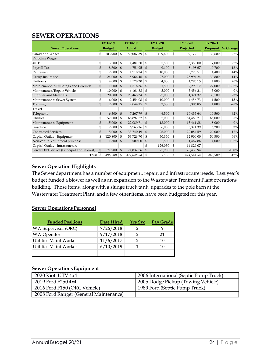## <span id="page-23-0"></span>**SEWER OPERATIONS**

|                                             | FY 18-19       |               |                | FY 18-19   |                | FY 19-20      |                | FY 19-20   | FY 20-21 |             |
|---------------------------------------------|----------------|---------------|----------------|------------|----------------|---------------|----------------|------------|----------|-------------|
| <b>Sewer Operations</b>                     |                | <b>Budget</b> |                | Actual     |                | <b>Budget</b> |                | Projected  | Proposed | $\%$ Change |
| Salary and Wages                            | \$             | 103,900       | \$             | 59,087.39  | S              | 109,600       | \$             | 107,172.11 | 139,600  | 27%         |
| Part-time Wages                             |                |               |                |            |                |               |                |            |          |             |
| 401k                                        | \$             | 5,200         | \$             | 1,481.50   | \$             | 5,500         | \$             | 5,359.00   | 7,000    | 27%         |
| Payroll Tax                                 | \$             | 8,700         | $\mathfrak{S}$ | 4,751.95   | $\mathfrak{s}$ | 9,100         | $\mathfrak{S}$ | 8,198.67   | 10,700   | 18%         |
| Retirement                                  | \$             | 7,600         | \$             | 1,718.24   | \$             | 10,000        | \$             | 9,720.51   | 14,400   | 44%         |
| Group Insurance                             | \$             | 24,000        | $\mathfrak{S}$ | 8,966.46   | $\mathfrak{S}$ | 27,000        | $\mathcal{S}$  | 25,994.24  | 30,800   | 14%         |
| Uniforms                                    | \$             | 4,000         | \$             | 2,578.30   | \$             | 4,000         | \$             | 4,795.15   | 4,800    | 20%         |
| Maintenance to Buildings and Grounds        | $\mathfrak{S}$ | 1,000         | $\mathfrak{S}$ | 1,516.36   | $\mathfrak{S}$ | 1,500         | $\mathcal{S}$  | 2,293.17   | 22,000   | 1367%       |
| Maintenance/Repair Vehicle                  | \$             | 10,000        | \$             | 6,161.88   | \$             | 5,000         | \$             | 5,456.21   | 5,000    | $0\%$       |
| Supplies and Materials                      | \$             | 20,000        | $\mathfrak{S}$ | 23,465.34  | \$             | 27,000        | $\mathcal{S}$  | 31,321.32  | 33,100   | 23%         |
| Maintenance to Sewer System                 | \$             | 16,000        | \$             | 2,454.08   | \$             | 10,000        | \$             | 4,456.73   | 11,500   | 15%         |
| Training                                    | $\mathfrak{S}$ | 2,000         | $\mathfrak{S}$ | 2,044.15   | $\mathfrak{s}$ | 2,500         | $\mathfrak{S}$ | 3,306.85   | 1,800    | $-28%$      |
| Travel                                      |                |               |                |            |                |               |                |            |          |             |
| Telephone                                   | $\mathbb{S}$   | 6,300         | $\mathcal{S}$  | 7,267.79   | $\mathfrak{S}$ | 6,500         | $\mathfrak{s}$ | 10,435.64  | 10,500   | 62%         |
| <b>Utilities</b>                            | \$             | 57,000        | \$             | 66,897.52  | \$             | 62,000        | \$             | 64,489.21  | 65,000   | 5%          |
| Maintenance to Equipment                    | \$             | 15,000        | $\mathfrak{S}$ | 22,089.71  | $\mathfrak{S}$ | 18,000        | $\mathfrak{S}$ | 13,461.88  | 18,000   | 0%          |
| Gasoline                                    | \$             | 7,000         | \$             | 6,763.16   | \$             | 6,000         | \$             | 6,371.39   | 6,200    | 3%          |
| <b>Contracted Services</b>                  | \$             | 15,000        | \$             | 33,740.49  | $\mathfrak{S}$ | 26,000        | $\mathfrak{S}$ | 22,084.59  | 29,000   | 12%         |
| Capital Outlay - Equipment                  | \$             | 120,800       | \$             | 53,726.70  | \$             | 30,350        | $\mathbb{S}$   | 12,900.00  | 50,500   | 66%         |
| Non-capital equipment purchase              | \$             | 1,500         | $\mathbb{S}$   | 500.00     | $\mathfrak{s}$ | 1,500         | $\mathcal{S}$  | 1,467.86   | 4,000    | 167%        |
| Capital Outlay - Infrastructure             |                |               |                |            | \$             | 126,050       | \$             | 14,829.07  |          |             |
| Sewer Debt Service (Principal and Interest) | $\mathfrak{S}$ | 71,900        | $\mathcal{S}$  | 71,837.56  | $\mathfrak{S}$ | 71,900        | $\mathfrak{S}$ | 70,430.94  |          | $-100%$     |
| Total $\oint$                               |                | 496,900       | \$             | 377,048.58 | \$             | 559,500       | \$             | 424,544.54 | 463,900  | $-17%$      |

#### **Sewer Operation Highlights**

The Sewer department has a number of equipment, repair, and infrastructure needs. Last year's budget funded a blower as well as an expansion to the Wastewater Treatment Plant operations building. Those items, along with a sludge truck tank, upgrades to the pole barn at the Wastewater Treatment Plant, and a few other items, have been budgeted for this year.

#### **Sewer Operations Personnel**

| <b>Funded Positions</b>    | Date Hired | <b>Yrs</b> Svc | Pay Grade |
|----------------------------|------------|----------------|-----------|
| <b>WW Supervisor (ORC)</b> | 7/26/2018  | ႒              |           |
| <b>WW Operator I</b>       | 9/17/2018  | າ              | 21        |
| Utilities Maint Worker     | 11/6/2017  | っ              | 10        |
| Utilities Maint Worker     | 6/10/2019  |                | 10        |
|                            |            |                |           |

#### **Sewer Operations Equipment**

| 2020 Kioti UTV 4x4                     | 2006 International (Septic Pump Truck) |
|----------------------------------------|----------------------------------------|
| 2019 Ford F250 4x4                     | 2005 Dodge Pickup (Towing Vehicle)     |
| 2016 Ford F150 (ORC Vehicle)           | 1989 Ford (Septic Pump Truck)          |
| 2008 Ford Ranger (General Maintenance) |                                        |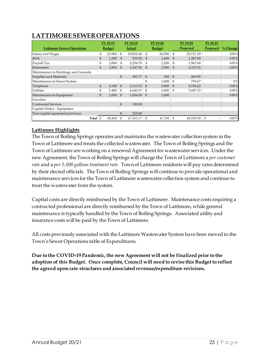# <span id="page-24-0"></span>**LATTIMORE SEWER OPERATIONS**

|                                      | FY 18-19 |               |                | FY 18-19  |                | FY 19-20      |                | FY 19-20  | FY 20-21             |            |
|--------------------------------------|----------|---------------|----------------|-----------|----------------|---------------|----------------|-----------|----------------------|------------|
| <b>Lattimore Sewer Operations</b>    |          | <b>Budget</b> |                | Actual    |                | <b>Budget</b> |                | Projected | Proposed             | $%$ Change |
| Salary and Wages                     | \$       | 23,900        | $\mathfrak{s}$ | 29,822.40 | <sup>\$</sup>  | 26,500        | \$             | 25,721.29 |                      | $-100\%$   |
| 401k                                 | \$       | 1,200         | $\mathfrak{L}$ | 559.50    | $\mathfrak{L}$ | 1,400         | \$             | 1,287.00  |                      | $-100%$    |
| Payroll Tax                          | \$       | 2,000         | \$             | 2,254.79  | $\mathfrak{L}$ | 2,200         | \$             | 1,967.68  |                      | $-100%$    |
| Retirement                           | \$       | 1,800         | $\mathfrak{L}$ | 1,347.82  | $\mathfrak{L}$ | 2,500         | $\mathfrak{S}$ | 2,332.92  |                      | $-100%$    |
| Maintenance to Buildings and Grounds |          |               |                |           |                |               |                |           |                      |            |
| Supplies and Materials               |          |               | \$             | 383.77    | $\mathfrak{s}$ | 500           | $\mathfrak{S}$ | 469.85    |                      |            |
| Maintenance to Sewer System          |          |               |                |           | \$             | 1,000         | \$             | 750.67    |                      | 0%         |
| Telephone                            | \$       | 5,100         | $\mathfrak{L}$ | 5,113.52  | $\mathfrak{S}$ | 5,800         | $\mathfrak{S}$ | 8,704.20  |                      | $-100%$    |
| <b>Utilities</b>                     | \$       | 5,400         | -S             | 6,640.37  | \$             | 6,800         | \$             | 7,687.33  |                      | $-100%$    |
| Maintenance to Equipment             | \$       | 1,000         | <sup>\$</sup>  | 1,004.00  | $\mathfrak{s}$ | 1,000         |                |           |                      | $-100%$    |
| Gasoline                             |          |               |                |           |                |               |                |           |                      |            |
| <b>Contracted Services</b>           |          |               | \$             | 150.00    |                |               |                |           |                      |            |
| Capital Outlay - Equipment           |          |               |                |           |                |               |                |           |                      |            |
| Non-capital equipment purchase       |          |               | \$             | 225.00    |                |               |                |           |                      |            |
| Total                                | \$       | 40,400        | \$             | 47,501.17 | \$             | 47,700        | \$             | 48,920.94 | \$<br>$\overline{a}$ | $-100%$    |

#### **Lattimore Highlights**

The Town of Boiling Springs operates and maintains the wastewater collection system in the Town of Lattimore and treats the collected wastewater. The Town of Boiling Springs and the Town of Lattimore are working on a renewed Agreement for wastewater services. Under the new Agreement, the Town of Boiling Springs will charge the Town of Lattimore a *per customer rate* and a *per 1,000 gallons treatment rate*. Town of Lattimore residents will pay rates determined by their elected officials. The Town of Boiling Springs will continue to provide operational and maintenance services for the Town of Lattimore wastewater collection system and continue to treat the wastewater from the system.

Capital costs are directly reimbursed by the Town of Lattimore. Maintenance costs requiring a contracted professional are directly reimbursed by the Town of Lattimore, while general maintenance is typically handled by the Town of Boiling Springs. Associated utility and insurance costs will be paid by the Town of Lattimore.

All costs previously associated with the Lattimore Wastewater System have been moved to the Town's Sewer Operations table of Expenditures.

**Due to the COVID-19 Pandemic, the new Agreement will not be finalized prior to the adoption of this Budget. Once complete, Council will need to revise this Budget to reflect the agreed upon rate structures and associated revenue/expenditure revisions.**